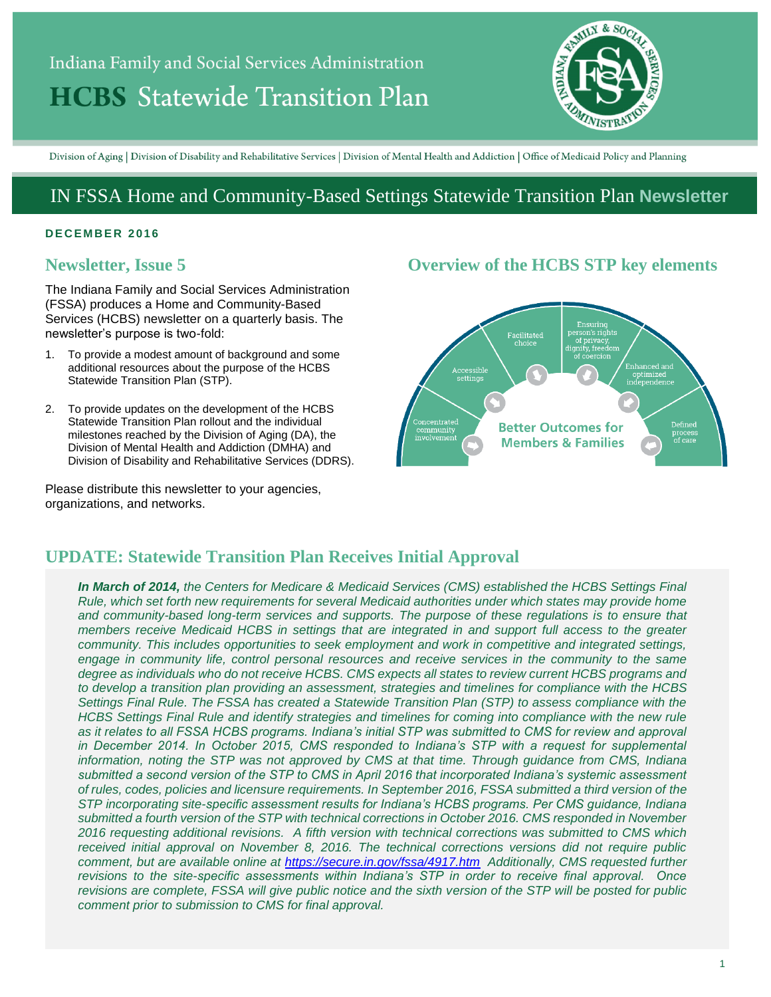# Indiana Family and Social Services Administration **HCBS** Statewide Transition Plan



Division of Aging | Division of Disability and Rehabilitative Services | Division of Mental Health and Addiction | Office of Medicaid Policy and Planning

# IN FSSA Home and Community-Based Settings Statewide Transition Plan **Newsletter**

#### **D E C E M B E R 2 01 6**

# **Newsletter, Issue 5**

The Indiana Family and Social Services Administration (FSSA) produces a Home and Community-Based Services (HCBS) newsletter on a quarterly basis. The newsletter's purpose is two-fold:

- 1. To provide a modest amount of background and some additional resources about the purpose of the HCBS Statewide Transition Plan (STP).
- 2. To provide updates on the development of the HCBS Statewide Transition Plan rollout and the individual milestones reached by the Division of Aging (DA), the Division of Mental Health and Addiction (DMHA) and Division of Disability and Rehabilitative Services (DDRS).

Please distribute this newsletter to your agencies, organizations, and networks.

# **Overview of the HCBS STP key elements**



# **UPDATE: Statewide Transition Plan Receives Initial Approval**

*In March of 2014, the Centers for Medicare & Medicaid Services (CMS) established the HCBS Settings Final Rule, which set forth new requirements for several Medicaid authorities under which states may provide home and community-based long-term services and supports. The purpose of these regulations is to ensure that members receive Medicaid HCBS in settings that are integrated in and support full access to the greater community. This includes opportunities to seek employment and work in competitive and integrated settings, engage in community life, control personal resources and receive services in the community to the same degree as individuals who do not receive HCBS. CMS expects all states to review current HCBS programs and to develop a transition plan providing an assessment, strategies and timelines for compliance with the HCBS Settings Final Rule. The FSSA has created a Statewide Transition Plan (STP) to assess compliance with the HCBS Settings Final Rule and identify strategies and timelines for coming into compliance with the new rule as it relates to all FSSA HCBS programs. Indiana's initial STP was submitted to CMS for review and approval in December 2014. In October 2015, CMS responded to Indiana's STP with a request for supplemental information, noting the STP was not approved by CMS at that time. Through guidance from CMS, Indiana submitted a second version of the STP to CMS in April 2016 that incorporated Indiana's systemic assessment of rules, codes, policies and licensure requirements. In September 2016, FSSA submitted a third version of the STP incorporating site-specific assessment results for Indiana's HCBS programs. Per CMS guidance, Indiana submitted a fourth version of the STP with technical corrections in October 2016. CMS responded in November 2016 requesting additional revisions. A fifth version with technical corrections was submitted to CMS which received initial approval on November 8, 2016. The technical corrections versions did not require public comment, but are available online at<https://secure.in.gov/fssa/4917.htm>Additionally, CMS requested further revisions to the site-specific assessments within Indiana's STP in order to receive final approval. Once revisions are complete, FSSA will give public notice and the sixth version of the STP will be posted for public comment prior to submission to CMS for final approval.*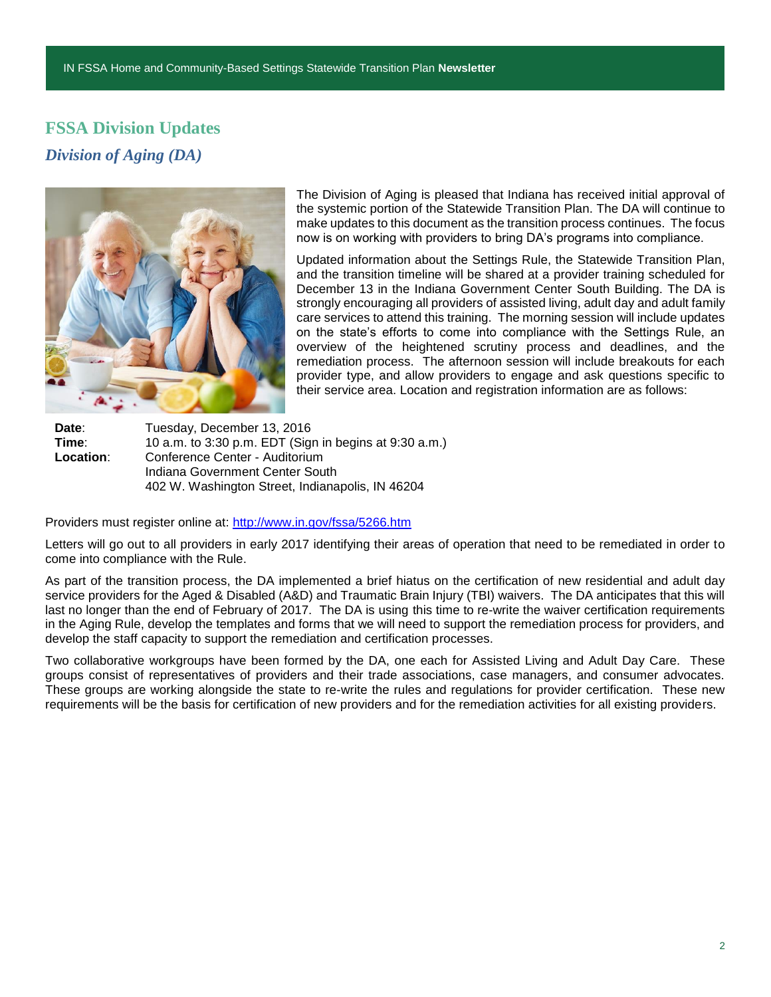# **FSSA Division Updates** *Division of Aging (DA)*



The Division of Aging is pleased that Indiana has received initial approval of the systemic portion of the Statewide Transition Plan. The DA will continue to make updates to this document as the transition process continues. The focus now is on working with providers to bring DA's programs into compliance.

Updated information about the Settings Rule, the Statewide Transition Plan, and the transition timeline will be shared at a provider training scheduled for December 13 in the Indiana Government Center South Building. The DA is strongly encouraging all providers of assisted living, adult day and adult family care services to attend this training. The morning session will include updates on the state's efforts to come into compliance with the Settings Rule, an overview of the heightened scrutiny process and deadlines, and the remediation process. The afternoon session will include breakouts for each provider type, and allow providers to engage and ask questions specific to their service area. Location and registration information are as follows:

Date: Tuesday, December 13, 2016 **Time:** 10 a.m. to 3:30 p.m. EDT (Sign in begins at 9:30 a.m.)<br>**Location:** Conference Center - Auditorium **Location**: Conference Center - Auditorium Indiana Government Center South 402 W. Washington Street, Indianapolis, IN 46204

Providers must register online at:<http://www.in.gov/fssa/5266.htm>

Letters will go out to all providers in early 2017 identifying their areas of operation that need to be remediated in order to come into compliance with the Rule.

As part of the transition process, the DA implemented a brief hiatus on the certification of new residential and adult day service providers for the Aged & Disabled (A&D) and Traumatic Brain Injury (TBI) waivers. The DA anticipates that this will last no longer than the end of February of 2017. The DA is using this time to re-write the waiver certification requirements in the Aging Rule, develop the templates and forms that we will need to support the remediation process for providers, and develop the staff capacity to support the remediation and certification processes.

Two collaborative workgroups have been formed by the DA, one each for Assisted Living and Adult Day Care. These groups consist of representatives of providers and their trade associations, case managers, and consumer advocates. These groups are working alongside the state to re-write the rules and regulations for provider certification. These new requirements will be the basis for certification of new providers and for the remediation activities for all existing providers.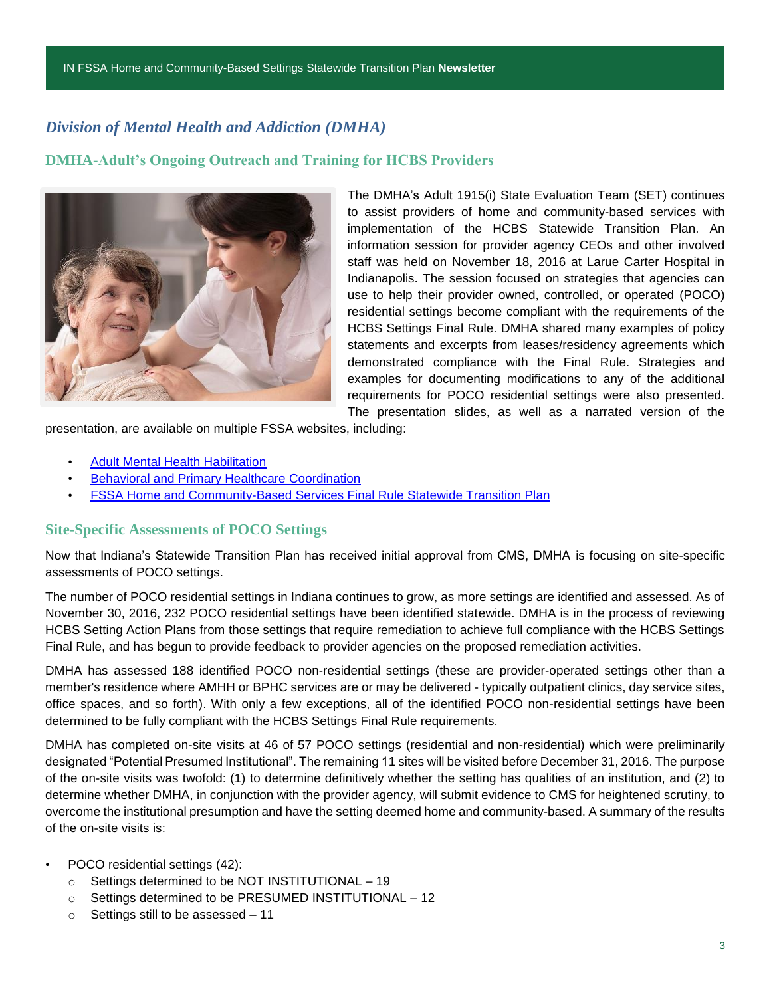# *Division of Mental Health and Addiction (DMHA)*

### **DMHA-Adult's Ongoing Outreach and Training for HCBS Providers**



The DMHA's Adult 1915(i) State Evaluation Team (SET) continues to assist providers of home and community-based services with implementation of the HCBS Statewide Transition Plan. An information session for provider agency CEOs and other involved staff was held on November 18, 2016 at Larue Carter Hospital in Indianapolis. The session focused on strategies that agencies can use to help their provider owned, controlled, or operated (POCO) residential settings become compliant with the requirements of the HCBS Settings Final Rule. DMHA shared many examples of policy statements and excerpts from leases/residency agreements which demonstrated compliance with the Final Rule. Strategies and examples for documenting modifications to any of the additional requirements for POCO residential settings were also presented. The presentation slides, as well as a narrated version of the

presentation, are available on multiple FSSA websites, including:

- [Adult Mental Health Habilitation](http://www.in.gov/fssa/dmha/2876.htm)
- [Behavioral and Primary Healthcare Coordination](http://www.in.gov/fssa/dmha/2883.htm)
- [FSSA Home and Community-Based Services Final Rule Statewide Transition Plan](http://www.in.gov/fssa/4917.htm)

#### **Site-Specific Assessments of POCO Settings**

Now that Indiana's Statewide Transition Plan has received initial approval from CMS, DMHA is focusing on site-specific assessments of POCO settings.

The number of POCO residential settings in Indiana continues to grow, as more settings are identified and assessed. As of November 30, 2016, 232 POCO residential settings have been identified statewide. DMHA is in the process of reviewing HCBS Setting Action Plans from those settings that require remediation to achieve full compliance with the HCBS Settings Final Rule, and has begun to provide feedback to provider agencies on the proposed remediation activities.

DMHA has assessed 188 identified POCO non-residential settings (these are provider-operated settings other than a member's residence where AMHH or BPHC services are or may be delivered - typically outpatient clinics, day service sites, office spaces, and so forth). With only a few exceptions, all of the identified POCO non-residential settings have been determined to be fully compliant with the HCBS Settings Final Rule requirements.

DMHA has completed on-site visits at 46 of 57 POCO settings (residential and non-residential) which were preliminarily designated "Potential Presumed Institutional". The remaining 11 sites will be visited before December 31, 2016. The purpose of the on-site visits was twofold: (1) to determine definitively whether the setting has qualities of an institution, and (2) to determine whether DMHA, in conjunction with the provider agency, will submit evidence to CMS for heightened scrutiny, to overcome the institutional presumption and have the setting deemed home and community-based. A summary of the results of the on-site visits is:

#### • POCO residential settings (42):

- o Settings determined to be NOT INSTITUTIONAL 19
- o Settings determined to be PRESUMED INSTITUTIONAL 12
- o Settings still to be assessed 11